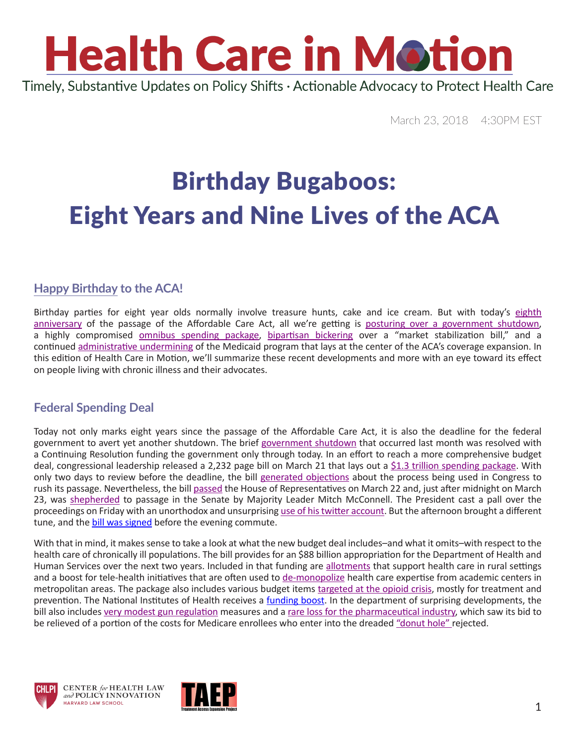

March 23, 2018 4:30PM EST

### Birthday Bugaboos: Eight Years and Nine Lives of the ACA

#### **[Happy Birthday](https://www.youtube.com/watch?v=inS9gAgSENE) to the ACA!**

Birthday parties for eight year olds normally involve treasure hunts, cake and ice cream. But with today's [eighth](https://twitter.com/ASlavitt/status/977167037599494145) [anniversary](https://twitter.com/ASlavitt/status/977167037599494145) of the passage of the Affordable Care Act, all we're getting is [posturing over a government shutdown](https://twitter.com/realDonaldTrump/status/977166887493799936?ref_src=twsrc%5Etfw&ref_url=https%3A%2F%2Fwww.washingtonpost.com%2Fnews%2Fthe-fix%2Fwp%2F2018%2F03%2F23%2Fwhy-is-trump-threatening-to-veto-a-spending-bill-hours-before-a-shutdown-deadline%2F&tfw_creator=byamberphillips&tfw_site=WashingtonPost), a highly compromised **[omnibus spending package](http://docs.house.gov/billsthisweek/20180319/BILLS-115SAHR1625-RCP115-66.pdf)**, [bipartisan bickering](https://www.help.senate.gov/ranking/newsroom/press/murray-not-giving-up-on-health-care-stabilization-i-hope-we-can-get-back-to-the-table-and-resume-talks) over a "market stabilization bill," and a continued [administrative undermining](https://www.arktimes.com/ArkansasBlog/archives/2018/03/05/today-in-arkansas-life-or-death-decision-from-feds-on-medicaid) of the Medicaid program that lays at the center of the ACA's coverage expansion. In this edition of Health Care in Motion, we'll summarize these recent developments and more with an eye toward its effect on people living with chronic illness and their advocates.

#### **Federal Spending Deal**

Today not only marks eight years since the passage of the Affordable Care Act, it is also the deadline for the federal government to avert yet another shutdown. The brief [government shutdown](https://www.cbpp.org/research/policy-basics-introduction-to-the-federal-budget-process) that occurred last month was resolved with a Continuing Resolution funding the government only through today. In an effort to reach a more comprehensive budget deal, congressional leadership released a 2,232 page bill on March 21 that lays out a [\\$1.3 trillion spending package.](http://docs.house.gov/billsthisweek/20180319/BILLS-115SAHR1625-RCP115-66.pdf) With only two days to review before the deadline, the bill [generated objections](http://thehill.com/homenews/senate/379872-paul-shutting-down-government-not-my-goal) about the process being used in Congress to rush its passage. Nevertheless, the bill [passed](https://www.rollcall.com/news/politics/how-house-members-voted-on-the-omnibus-versus-the-budget-deal) the House of Representatives on March 22 and, just after midnight on March 23, was [shepherded](https://www.politico.com/story/2018/03/22/rand-paul-senate-omnibus-480553) to passage in the Senate by Majority Leader Mitch McConnell. The President cast a pall over the proceedings on Friday with an unorthodox and unsurprising [use of his twitter account.](https://twitter.com/realDonaldTrump/status/977166887493799936) But the afternoon brought a different tune, and the **bill was signed** before the evening commute.

With that in mind, it makes sense to take a look at what the new budget deal includes–and what it omits–with respect to the health care of chronically ill populations. The bill provides for an \$88 billion appropriation for the Department of Health and Human Services over the next two years. Included in that funding are [allotments](http://www.modernhealthcare.com/article/20180321/NEWS/180329972?AllowView=VDl3UXg1TzZDUFdCbkJiYkY0M3pjME9xalVVZERlUT0=) that support health care in rural settings and a boost for tele-health initiatives that are often used to [de-monopolize](https://echo.unm.edu/) health care expertise from academic centers in metropolitan areas. The package also includes various budget items [targeted at the opioid crisis](https://www.vox.com/policy-and-politics/2018/3/22/17151584/congresss-omnibus-spending-bill-health-care), mostly for treatment and prevention. The National Institutes of Health receives a [funding boost](http://thehill.com/policy/healthcare/overnights/379838-overnight-health-care-house-votes-for-13-trillion-spending-bill). In the department of surprising developments, the bill also includes [very modest gun regulation](https://www.theatlantic.com/politics/archive/2018/03/congress-guns-fix-nics-baby-steps/556250/) measures and a [rare loss for the pharmaceutical industry,](https://www.statnews.com/2018/03/21/drug-makers-fail-effort-donut-hole/) which saw its bid to be relieved of a portion of the costs for Medicare enrollees who enter into the dreaded "donut hole" rejected.





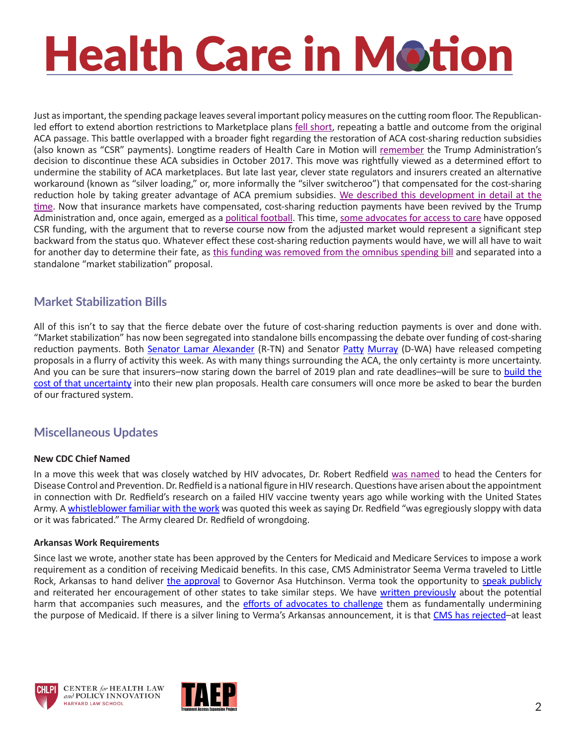# **Health Care in Motion**

Just as important, the spending package leaves several important policy measures on the cutting room floor. The Republicanled effort to extend abortion restrictions to Marketplace plans *[fell short](https://www.washingtonpost.com/news/powerpost/paloma/the-health-202/2018/03/22/the-health-202-this-abortion-fight-derailed-a-bipartisan-obamacare-fix-in-spending-bill/5ab2c18230fb045e48d05b41/?utm_term=.9317905f2c49)*, repeating a battle and outcome from the original ACA passage. This battle overlapped with a broader fight regarding the restoration of ACA cost-sharing reduction subsidies (also known as "CSR" payments). Longtime readers of Health Care in Motion will [remember](https://www.chlpi.org/wp-content/uploads/2013/12/HCIM_11_06_2017.pdf) the Trump Administration's decision to discontinue these ACA subsidies in October 2017. This move was rightfully viewed as a determined effort to undermine the stability of ACA marketplaces. But late last year, clever state regulators and insurers created an alternative workaround (known as "silver loading," or, more informally the "silver switcheroo") that compensated for the cost-sharing reduction hole by taking greater advantage of ACA premium subsidies. [We described this development in detail at the](https://www.chlpi.org/wp-content/uploads/2013/12/HCIM_11_06_2017.pdf)  [time](https://www.chlpi.org/wp-content/uploads/2013/12/HCIM_11_06_2017.pdf). Now that insurance markets have compensated, cost-sharing reduction payments have been revived by the Trump Administration and, once again, emerged as a [political football](https://www.vox.com/policy-and-politics/2018/3/21/17148326/democrats-oppose-stabilizing-obamacare). This time, [some advocates for access to care](http://familiesusa.org/product/under-guise-%E2%80%9Chealth-insurance-stabilization%E2%80%9D-congress-should-not-axe-financial-help-low-wage) have opposed CSR funding, with the argument that to reverse course now from the adjusted market would represent a significant step backward from the status quo. Whatever effect these cost-sharing reduction payments would have, we will all have to wait for another day to determine their fate, as [this funding was removed from the omnibus spending bill](https://www.npr.org/sections/health-shots/2018/03/22/596116779/medical-research-drug-treatment-and-mental-health-are-winners-in-new-budget-bill) and separated into a standalone "market stabilization" proposal.

#### **Market Stabilization Bills**

All of this isn't to say that the fierce debate over the future of cost-sharing reduction payments is over and done with. "Market stabilization" has now been segregated into standalone bills encompassing the debate over funding of cost-sharing reduction payments. Both [Senator Lamar Alexander](https://www.cbpp.org/research/health/cbo-alexander-stabilization-bill-would-raise-costs-for-moderate-income-consumers) (R-TN) and Senator [Patty](https://twitter.com/PattyMurray/status/976918646894354432) [Murray](https://www.murray.senate.gov/public/index.cfm/newsreleases?ID=80A0EDA7-5D24-4DF7-A3B1-715FD1C3CE73) (D-WA) have released competing proposals in a flurry of activity this week. As with many things surrounding the ACA, the only certainty is more uncertainty. And you can be sure that insurers–now staring down the barrel of 2019 plan and rate deadlines–will be sure to build the [cost of that uncertainty](http://www.modernhealthcare.com/article/20180322/NEWS/180329961/with-no-fix-in-omnibus-budget-bill-insurers-set-to-hike-premiums) into their new plan proposals. Health care consumers will once more be asked to bear the burden of our fractured system.

#### **Miscellaneous Updates**

#### **New CDC Chief Named**

In a move this week that was closely watched by HIV advocates, Dr. Robert Redfield [was named](https://www.usnews.com/news/national-news/articles/2018-03-20/research-misconduct-allegations-shadow-trumps-likely-cdc-pick-robert-redfield) to head the Centers for Disease Control and Prevention.Dr. Redfield is a national figure in HIV research. Questions have arisen about the appointment in connection with Dr. Redfield's research on a failed HIV vaccine twenty years ago while working with the United States Army. A [whistleblower familiar with the work](https://khn.org/news/research-misconduct-allegations-shadow-likely-cdc-appointee/) was quoted this week as saying Dr. Redfield "was egregiously sloppy with data or it was fabricated." The Army cleared Dr. Redfield of wrongdoing.

#### **Arkansas Work Requirements**

Since last we wrote, another state has been approved by the Centers for Medicaid and Medicare Services to impose a work requirement as a condition of receiving Medicaid benefits. In this case, CMS Administrator Seema Verma traveled to Little Rock, Arkansas to hand deliver [the approval](https://www.washingtonpost.com/national/health-science/arkansas-wins-federal-permission-to-impose-medicaid-work-requirements/2018/03/05/a4fdaa88-2093-11e8-94da-ebf9d112159c_story.html?utm_term=.d08edf3cc128) to Governor Asa Hutchinson. Verma took the opportunity to [speak publicly](https://www.youtube.com/watch?v=HN0mq1KLets) and reiterated her encouragement of other states to take similar steps. We have [written previously](https://www.chlpi.org/wp-content/uploads/2013/12/HCIM_01_19_2018.pdf) about the potential harm that accompanies such measures, and the [efforts of advocates to challenge](https://www.chlpi.org/wp-content/uploads/2013/12/HCIM_01_26_2018.pdf) them as fundamentally undermining the purpose of Medicaid. If there is a silver lining to Verma's Arkansas announcement, it is that [CMS has rejected](https://www.washingtonpost.com/national/health-science/cms-issues-split-decision-on-arkansas-medicaid-waiver/2018/03/05/7468294e-20d3-11e8-946c-9420060cb7bd_story.html?utm_term=.b2188bc09b4f)-at least